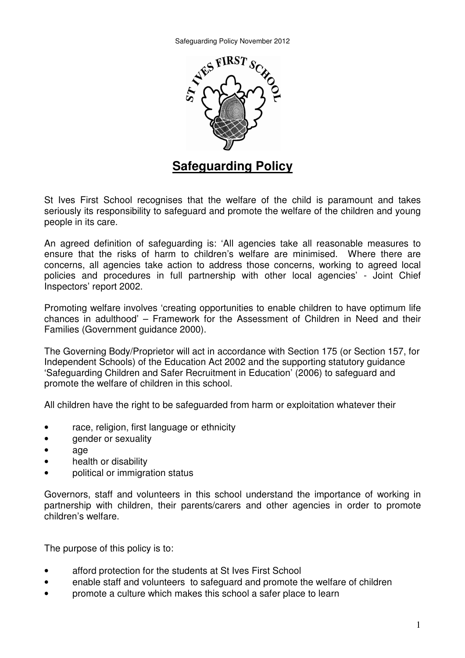

## **Safeguarding Policy**

St Ives First School recognises that the welfare of the child is paramount and takes seriously its responsibility to safeguard and promote the welfare of the children and young people in its care.

An agreed definition of safeguarding is: 'All agencies take all reasonable measures to ensure that the risks of harm to children's welfare are minimised. Where there are concerns, all agencies take action to address those concerns, working to agreed local policies and procedures in full partnership with other local agencies' - Joint Chief Inspectors' report 2002.

Promoting welfare involves 'creating opportunities to enable children to have optimum life chances in adulthood' – Framework for the Assessment of Children in Need and their Families (Government guidance 2000).

The Governing Body/Proprietor will act in accordance with Section 175 (or Section 157, for Independent Schools) of the Education Act 2002 and the supporting statutory guidance 'Safeguarding Children and Safer Recruitment in Education' (2006) to safeguard and promote the welfare of children in this school.

All children have the right to be safeguarded from harm or exploitation whatever their

- race, religion, first language or ethnicity
- gender or sexualitv
- age
- health or disability
- political or immigration status

Governors, staff and volunteers in this school understand the importance of working in partnership with children, their parents/carers and other agencies in order to promote children's welfare.

The purpose of this policy is to:

- afford protection for the students at St Ives First School
- enable staff and volunteers to safeguard and promote the welfare of children
- promote a culture which makes this school a safer place to learn